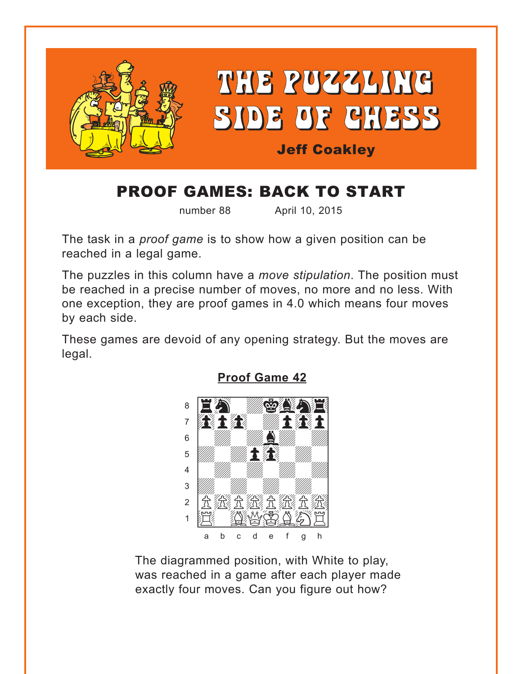<span id="page-0-0"></span>

# PROOF GAMES: BACK TO START

number 88 April 10, 2015

The task in a *proof game* is to show how a given position can be reached in a legal game.

The puzzles in this column have a *move stipulation*. The position must be reached in a precise number of moves, no more and no less. With one exception, they are proof games in 4.0 which means four moves by each side.

These games are devoid of any opening strategy. But the moves are legal.



**[Proof Game 42](#page-3-0)**

The diagrammed position, with White to play, was reached in a game after each player made exactly four moves. Can you figure out how?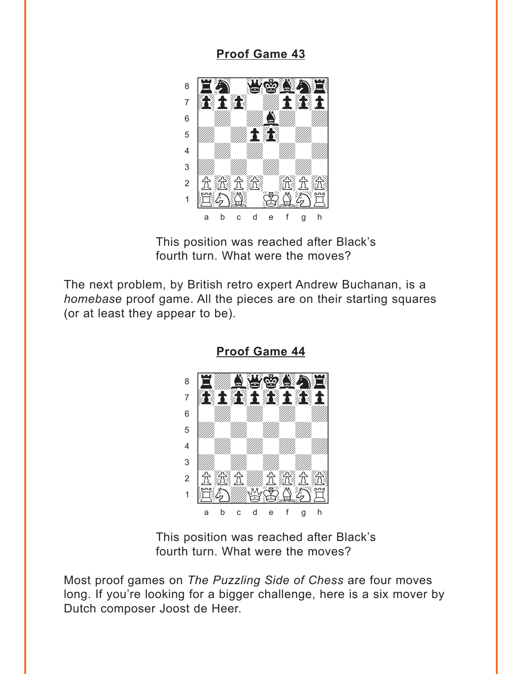#### **[Proof Game 43](#page-4-0)**

<span id="page-1-0"></span>

This position was reached after Black's fourth turn. What were the moves?

The next problem, by British retro expert Andrew Buchanan, is a *homebase* proof game. All the pieces are on their starting squares (or at least they appear to be).



**[Proof Game 44](#page-4-0)**

This position was reached after Black's fourth turn. What were the moves?

Most proof games on *The Puzzling Side of Chess* are four moves long. If you're looking for a bigger challenge, here is a six mover by Dutch composer Joost de Heer.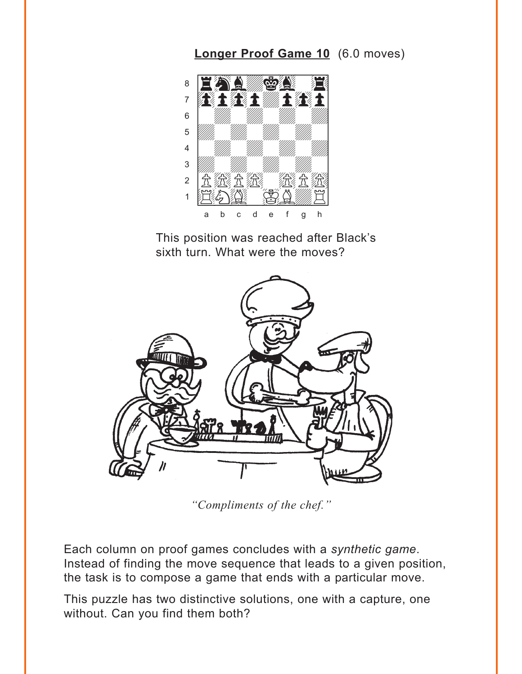### Longer Proof Game 10 (6.0 moves)

<span id="page-2-0"></span>

This position was reached after Black's sixth turn. What were the moves?



"Compliments of the chef."

Each column on proof games concludes with a synthetic game. Instead of finding the move sequence that leads to a given position, the task is to compose a game that ends with a particular move.

This puzzle has two distinctive solutions, one with a capture, one without. Can you find them both?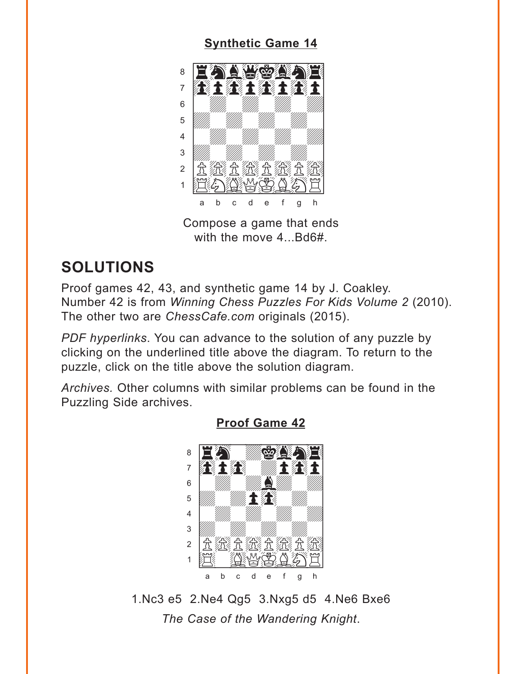#### **[Synthetic Game 14](#page-5-0)**

<span id="page-3-0"></span>

Compose a game that ends with the move 4...Bd6#.

## **SOLUTIONS**

Proof games 42, 43, and synthetic game 14 by J. Coakley. Number 42 is from *Winning Chess Puzzles For Kids Volume 2* (2010). The other two are *ChessCafe.com* originals (2015).

*PDF hyperlinks*. You can advance to the solution of any puzzle by clicking on the underlined title above the diagram. To return to the puzzle, click on the title above the solution diagram.

*Archives.* Other columns with similar problems can be found in the Puzzling Side archives.



**[Proof Game 42](#page-0-0)**

1.Nc3 e5 2.Ne4 Qg5 3.Nxg5 d5 4.Ne6 Bxe6 *The Case of the Wandering Knight*.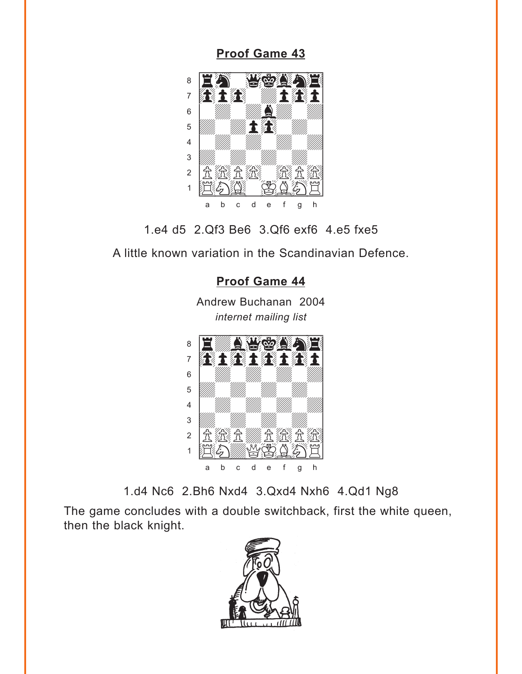<span id="page-4-0"></span>**[Proof Game 43](#page-1-0)**



1.e4 d5 2.Qf3 Be6 3.Qf6 exf6 4.e5 fxe5

A little known variation in the Scandinavian Defence.

#### **[Proof Game 44](#page-1-0)**

Andrew Buchanan 2004 *internet mailing list*



1.d4 Nc6 2.Bh6 Nxd4 3.Qxd4 Nxh6 4.Qd1 Ng8

The game concludes with a double switchback, first the white queen, then the black knight.

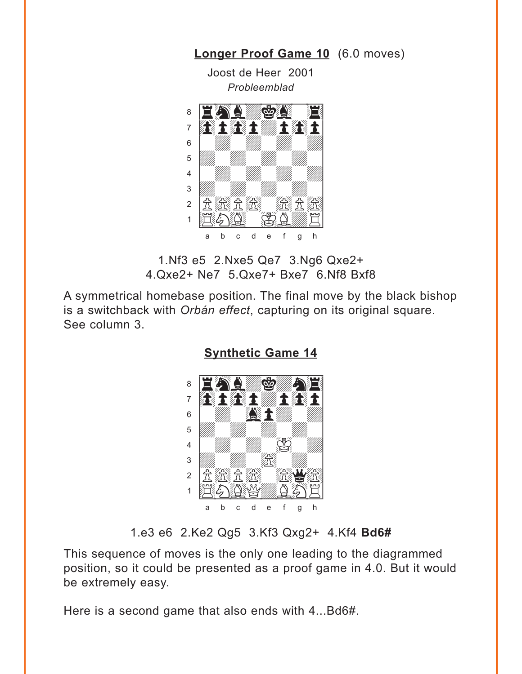<span id="page-5-0"></span>

**[Longer Proof Game 10](#page-2-0)** (6.0 moves)

1.Nf3 e5 2.Nxe5 Qe7 3.Ng6 Qxe2+ 4.Qxe2+ Ne7 5.Qxe7+ Bxe7 6.Nf8 Bxf8

A symmetrical homebase position. The final move by the black bishop is a switchback with *Orbán effect*, capturing on its original square. See column 3.



**[Synthetic Game 14](#page-3-0)**

1.e3 e6 2.Ke2 Qg5 3.Kf3 Qxg2+ 4.Kf4 **Bd6#**

This sequence of moves is the only one leading to the diagrammed position, so it could be presented as a proof game in 4.0. But it would be extremely easy.

Here is a second game that also ends with 4...Bd6#.